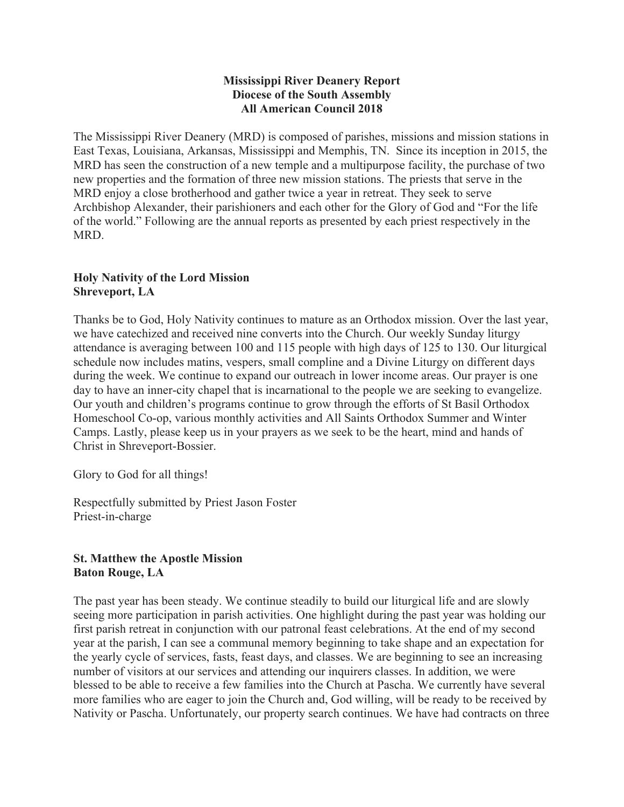## **Mississippi River Deanery Report Diocese of the South Assembly All American Council 2018**

The Mississippi River Deanery (MRD) is composed of parishes, missions and mission stations in East Texas, Louisiana, Arkansas, Mississippi and Memphis, TN. Since its inception in 2015, the MRD has seen the construction of a new temple and a multipurpose facility, the purchase of two new properties and the formation of three new mission stations. The priests that serve in the MRD enjoy a close brotherhood and gather twice a year in retreat. They seek to serve Archbishop Alexander, their parishioners and each other for the Glory of God and "For the life of the world." Following are the annual reports as presented by each priest respectively in the MRD.

## **Holy Nativity of the Lord Mission Shreveport, LA**

Thanks be to God, Holy Nativity continues to mature as an Orthodox mission. Over the last year, we have catechized and received nine converts into the Church. Our weekly Sunday liturgy attendance is averaging between 100 and 115 people with high days of 125 to 130. Our liturgical schedule now includes matins, vespers, small compline and a Divine Liturgy on different days during the week. We continue to expand our outreach in lower income areas. Our prayer is one day to have an inner-city chapel that is incarnational to the people we are seeking to evangelize. Our youth and children's programs continue to grow through the efforts of St Basil Orthodox Homeschool Co-op, various monthly activities and All Saints Orthodox Summer and Winter Camps. Lastly, please keep us in your prayers as we seek to be the heart, mind and hands of Christ in Shreveport-Bossier.

Glory to God for all things!

Respectfully submitted by Priest Jason Foster Priest-in-charge

# **St. Matthew the Apostle Mission Baton Rouge, LA**

The past year has been steady. We continue steadily to build our liturgical life and are slowly seeing more participation in parish activities. One highlight during the past year was holding our first parish retreat in conjunction with our patronal feast celebrations. At the end of my second year at the parish, I can see a communal memory beginning to take shape and an expectation for the yearly cycle of services, fasts, feast days, and classes. We are beginning to see an increasing number of visitors at our services and attending our inquirers classes. In addition, we were blessed to be able to receive a few families into the Church at Pascha. We currently have several more families who are eager to join the Church and, God willing, will be ready to be received by Nativity or Pascha. Unfortunately, our property search continues. We have had contracts on three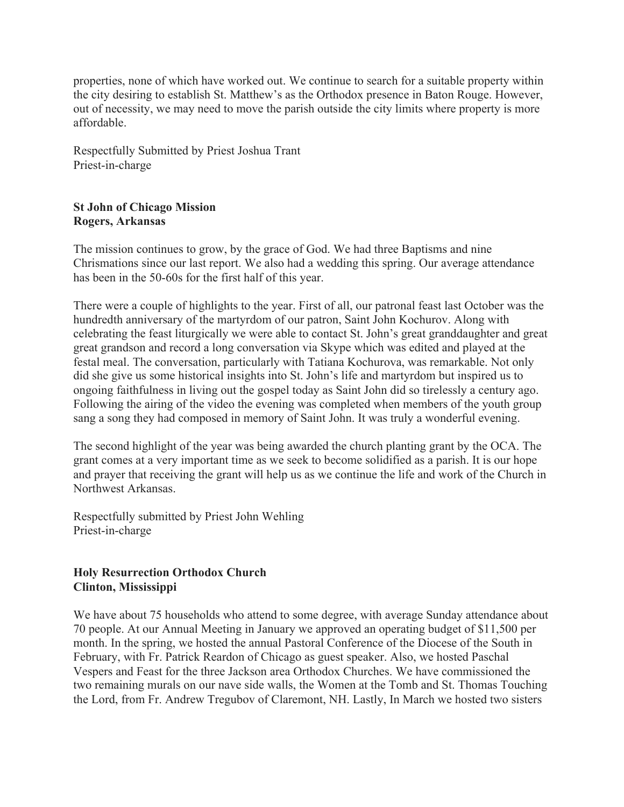properties, none of which have worked out. We continue to search for a suitable property within the city desiring to establish St. Matthew's as the Orthodox presence in Baton Rouge. However, out of necessity, we may need to move the parish outside the city limits where property is more affordable.

Respectfully Submitted by Priest Joshua Trant Priest-in-charge

### **St John of Chicago Mission Rogers, Arkansas**

The mission continues to grow, by the grace of God. We had three Baptisms and nine Chrismations since our last report. We also had a wedding this spring. Our average attendance has been in the 50-60s for the first half of this year.

There were a couple of highlights to the year. First of all, our patronal feast last October was the hundredth anniversary of the martyrdom of our patron, Saint John Kochurov. Along with celebrating the feast liturgically we were able to contact St. John's great granddaughter and great great grandson and record a long conversation via Skype which was edited and played at the festal meal. The conversation, particularly with Tatiana Kochurova, was remarkable. Not only did she give us some historical insights into St. John's life and martyrdom but inspired us to ongoing faithfulness in living out the gospel today as Saint John did so tirelessly a century ago. Following the airing of the video the evening was completed when members of the youth group sang a song they had composed in memory of Saint John. It was truly a wonderful evening.

The second highlight of the year was being awarded the church planting grant by the OCA. The grant comes at a very important time as we seek to become solidified as a parish. It is our hope and prayer that receiving the grant will help us as we continue the life and work of the Church in Northwest Arkansas.

Respectfully submitted by Priest John Wehling Priest-in-charge

# **Holy Resurrection Orthodox Church Clinton, Mississippi**

We have about 75 households who attend to some degree, with average Sunday attendance about 70 people. At our Annual Meeting in January we approved an operating budget of \$11,500 per month. In the spring, we hosted the annual Pastoral Conference of the Diocese of the South in February, with Fr. Patrick Reardon of Chicago as guest speaker. Also, we hosted Paschal Vespers and Feast for the three Jackson area Orthodox Churches. We have commissioned the two remaining murals on our nave side walls, the Women at the Tomb and St. Thomas Touching the Lord, from Fr. Andrew Tregubov of Claremont, NH. Lastly, In March we hosted two sisters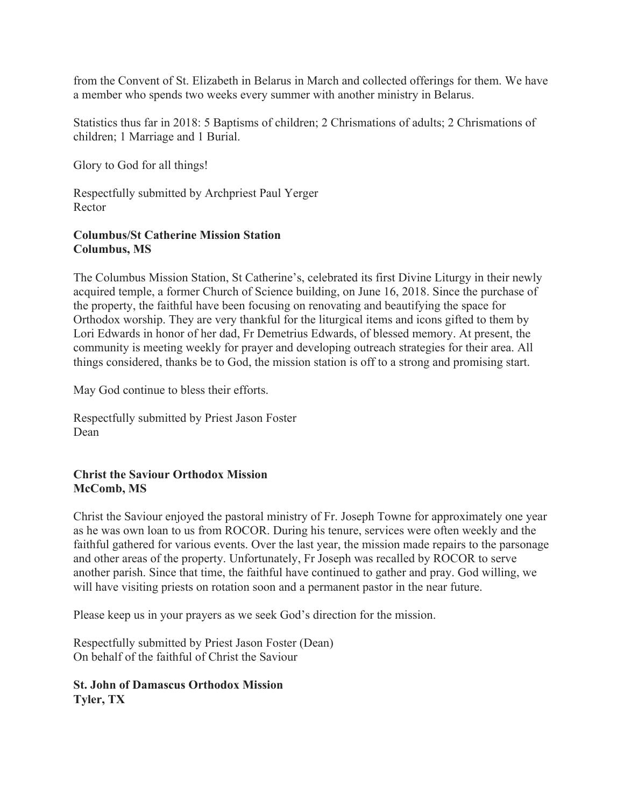from the Convent of St. Elizabeth in Belarus in March and collected offerings for them. We have a member who spends two weeks every summer with another ministry in Belarus.

Statistics thus far in 2018: 5 Baptisms of children; 2 Chrismations of adults; 2 Chrismations of children; 1 Marriage and 1 Burial.

Glory to God for all things!

Respectfully submitted by Archpriest Paul Yerger Rector

#### **Columbus/St Catherine Mission Station Columbus, MS**

The Columbus Mission Station, St Catherine's, celebrated its first Divine Liturgy in their newly acquired temple, a former Church of Science building, on June 16, 2018. Since the purchase of the property, the faithful have been focusing on renovating and beautifying the space for Orthodox worship. They are very thankful for the liturgical items and icons gifted to them by Lori Edwards in honor of her dad, Fr Demetrius Edwards, of blessed memory. At present, the community is meeting weekly for prayer and developing outreach strategies for their area. All things considered, thanks be to God, the mission station is off to a strong and promising start.

May God continue to bless their efforts.

Respectfully submitted by Priest Jason Foster Dean

#### **Christ the Saviour Orthodox Mission McComb, MS**

Christ the Saviour enjoyed the pastoral ministry of Fr. Joseph Towne for approximately one year as he was own loan to us from ROCOR. During his tenure, services were often weekly and the faithful gathered for various events. Over the last year, the mission made repairs to the parsonage and other areas of the property. Unfortunately, Fr Joseph was recalled by ROCOR to serve another parish. Since that time, the faithful have continued to gather and pray. God willing, we will have visiting priests on rotation soon and a permanent pastor in the near future.

Please keep us in your prayers as we seek God's direction for the mission.

Respectfully submitted by Priest Jason Foster (Dean) On behalf of the faithful of Christ the Saviour

## **St. John of Damascus Orthodox Mission Tyler, TX**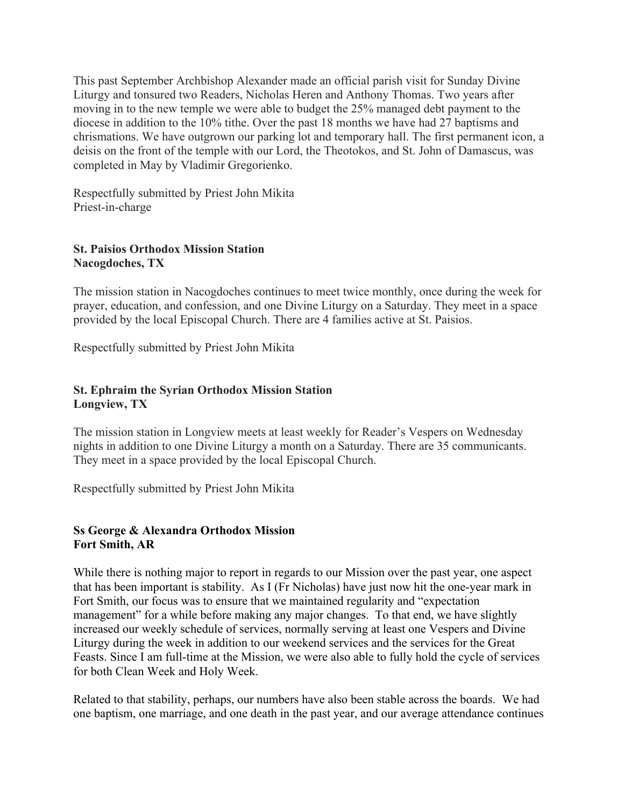This past September Archbishop Alexander made an official parish visit for Sunday Divine Liturgy and tonsured two Readers, Nicholas Heren and Anthony Thomas. Two years after moving in to the new temple we were able to budget the 25% managed debt payment to the diocese in addition to the 10% tithe. Over the past 18 months we have had 27 baptisms and chrismations. We have outgrown our parking lot and temporary hall. The first permanent icon, a deisis on the front of the temple with our Lord, the Theotokos, and St. John of Damascus, was completed in May by Vladimir Gregorienko.

Respectfully submitted by Priest John Mikita Priest-in-charge

# **St. Paisios Orthodox Mission Station Nacogdoches, TX**

The mission station in Nacogdoches continues to meet twice monthly, once during the week for prayer, education, and confession, and one Divine Liturgy on a Saturday. They meet in a space provided by the local Episcopal Church. There are 4 families active at St. Paisios.

Respectfully submitted by Priest John Mikita

# **St. Ephraim the Syrian Orthodox Mission Station Longview, TX**

The mission station in Longview meets at least weekly for Reader's Vespers on Wednesday nights in addition to one Divine Liturgy a month on a Saturday. There are 35 communicants. They meet in a space provided by the local Episcopal Church.

Respectfully submitted by Priest John Mikita

# **Ss George & Alexandra Orthodox Mission Fort Smith, AR**

While there is nothing major to report in regards to our Mission over the past year, one aspect that has been important is stability. As I (Fr Nicholas) have just now hit the one-year mark in Fort Smith, our focus was to ensure that we maintained regularity and "expectation management" for a while before making any major changes. To that end, we have slightly increased our weekly schedule of services, normally serving at least one Vespers and Divine Liturgy during the week in addition to our weekend services and the services for the Great Feasts. Since I am full-time at the Mission, we were also able to fully hold the cycle of services for both Clean Week and Holy Week.

Related to that stability, perhaps, our numbers have also been stable across the boards. We had one baptism, one marriage, and one death in the past year, and our average attendance continues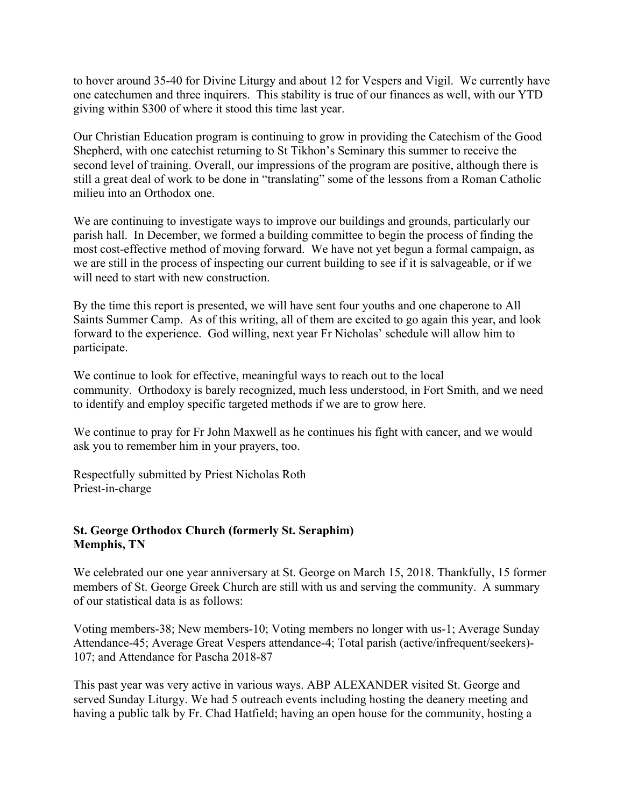to hover around 35-40 for Divine Liturgy and about 12 for Vespers and Vigil. We currently have one catechumen and three inquirers. This stability is true of our finances as well, with our YTD giving within \$300 of where it stood this time last year.

Our Christian Education program is continuing to grow in providing the Catechism of the Good Shepherd, with one catechist returning to St Tikhon's Seminary this summer to receive the second level of training. Overall, our impressions of the program are positive, although there is still a great deal of work to be done in "translating" some of the lessons from a Roman Catholic milieu into an Orthodox one.

We are continuing to investigate ways to improve our buildings and grounds, particularly our parish hall. In December, we formed a building committee to begin the process of finding the most cost-effective method of moving forward. We have not yet begun a formal campaign, as we are still in the process of inspecting our current building to see if it is salvageable, or if we will need to start with new construction.

By the time this report is presented, we will have sent four youths and one chaperone to All Saints Summer Camp. As of this writing, all of them are excited to go again this year, and look forward to the experience. God willing, next year Fr Nicholas' schedule will allow him to participate.

We continue to look for effective, meaningful ways to reach out to the local community. Orthodoxy is barely recognized, much less understood, in Fort Smith, and we need to identify and employ specific targeted methods if we are to grow here.

We continue to pray for Fr John Maxwell as he continues his fight with cancer, and we would ask you to remember him in your prayers, too.

Respectfully submitted by Priest Nicholas Roth Priest-in-charge

#### **St. George Orthodox Church (formerly St. Seraphim) Memphis, TN**

We celebrated our one year anniversary at St. George on March 15, 2018. Thankfully, 15 former members of St. George Greek Church are still with us and serving the community. A summary of our statistical data is as follows:

Voting members-38; New members-10; Voting members no longer with us-1; Average Sunday Attendance-45; Average Great Vespers attendance-4; Total parish (active/infrequent/seekers)- 107; and Attendance for Pascha 2018-87

This past year was very active in various ways. ABP ALEXANDER visited St. George and served Sunday Liturgy. We had 5 outreach events including hosting the deanery meeting and having a public talk by Fr. Chad Hatfield; having an open house for the community, hosting a